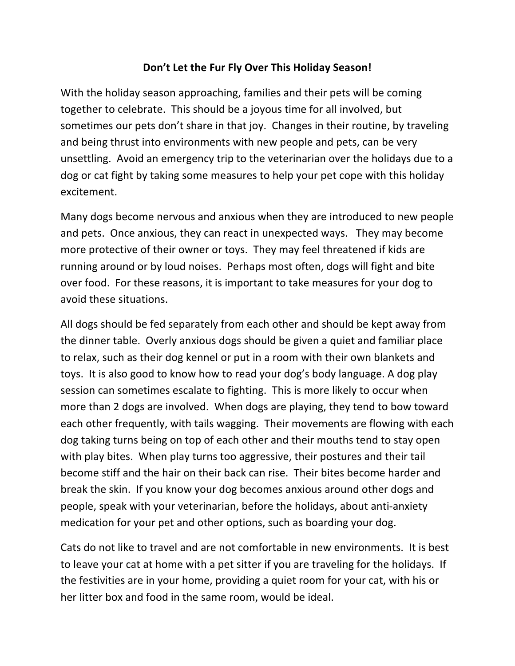## Don't Let the Fur Fly Over This Holiday Season!

With the holiday season approaching, families and their pets will be coming together to celebrate. This should be a joyous time for all involved, but sometimes our pets don't share in that joy. Changes in their routine, by traveling and being thrust into environments with new people and pets, can be very unsettling. Avoid an emergency trip to the veterinarian over the holidays due to a dog or cat fight by taking some measures to help your pet cope with this holiday excitement.

Many dogs become nervous and anxious when they are introduced to new people and pets. Once anxious, they can react in unexpected ways. They may become more protective of their owner or toys. They may feel threatened if kids are running around or by loud noises. Perhaps most often, dogs will fight and bite over food. For these reasons, it is important to take measures for your dog to avoid these situations.

All dogs should be fed separately from each other and should be kept away from the dinner table. Overly anxious dogs should be given a quiet and familiar place to relax, such as their dog kennel or put in a room with their own blankets and toys. It is also good to know how to read your dog's body language. A dog play session can sometimes escalate to fighting. This is more likely to occur when more than 2 dogs are involved. When dogs are playing, they tend to bow toward each other frequently, with tails wagging. Their movements are flowing with each dog taking turns being on top of each other and their mouths tend to stay open with play bites. When play turns too aggressive, their postures and their tail become stiff and the hair on their back can rise. Their bites become harder and break the skin. If you know your dog becomes anxious around other dogs and people, speak with your veterinarian, before the holidays, about anti-anxiety medication for your pet and other options, such as boarding your dog.

Cats do not like to travel and are not comfortable in new environments. It is best to leave your cat at home with a pet sitter if you are traveling for the holidays. If the festivities are in your home, providing a quiet room for your cat, with his or her litter box and food in the same room, would be ideal.